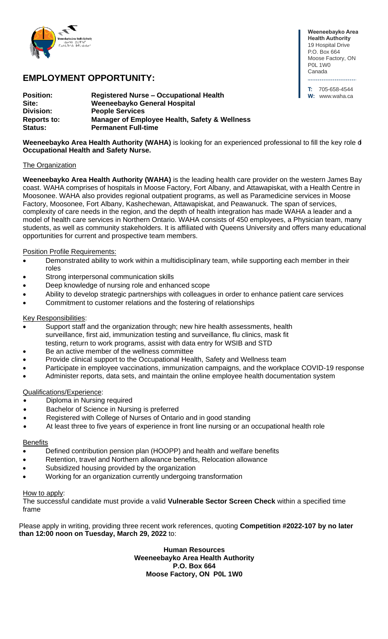

# **EMPLOYMENT OPPORTUNITY:**

| <b>Position:</b>   | <b>Registered Nurse – Occupational Health</b> |
|--------------------|-----------------------------------------------|
| Site:              | Weeneebayko General Hospital                  |
| <b>Division:</b>   | <b>People Services</b>                        |
| <b>Reports to:</b> | Manager of Employee Health, Safety & Wellness |
| <b>Status:</b>     | <b>Permanent Full-time</b>                    |

**Weeneebayko Area Health Authority** 19 Hospital Drive P.O. Box 664 Moose Factory, ON P0L 1W0 Canada ......................... **T:** 705-658-4544

**W:** www.waha.ca

**Weeneebayko Area Health Authority (WAHA)** is looking for an experienced professional to fill the key role of **Occupational Health and Safety Nurse.**

## **The Organization**

**Weeneebayko Area Health Authority (WAHA)** is the leading health care provider on the western James Bay coast. WAHA comprises of hospitals in Moose Factory, Fort Albany, and Attawapiskat, with a Health Centre in Moosonee. WAHA also provides regional outpatient programs, as well as Paramedicine services in Moose Factory, Moosonee, Fort Albany, Kashechewan, Attawapiskat, and Peawanuck. The span of services, complexity of care needs in the region, and the depth of health integration has made WAHA a leader and a model of health care services in Northern Ontario. WAHA consists of 450 employees, a Physician team, many students, as well as community stakeholders. It is affiliated with Queens University and offers many educational opportunities for current and prospective team members.

# Position Profile Requirements:

- Demonstrated ability to work within a multidisciplinary team, while supporting each member in their roles
- Strong interpersonal communication skills
- Deep knowledge of nursing role and enhanced scope
- Ability to develop strategic partnerships with colleagues in order to enhance patient care services
- Commitment to customer relations and the fostering of relationships

### Key Responsibilities:

- Support staff and the organization through; new hire health assessments, health surveillance, first aid, immunization testing and surveillance, flu clinics, mask fit testing, return to work programs, assist with data entry for WSIB and STD
- Be an active member of the wellness committee
- Provide clinical support to the Occupational Health, Safety and Wellness team
- Participate in employee vaccinations, immunization campaigns, and the workplace COVID-19 response
- Administer reports, data sets, and maintain the online employee health documentation system

### Qualifications/Experience:

- Diploma in Nursing required
- Bachelor of Science in Nursing is preferred
- Registered with College of Nurses of Ontario and in good standing
- At least three to five years of experience in front line nursing or an occupational health role

#### **Benefits**

- Defined contribution pension plan (HOOPP) and health and welfare benefits
- Retention, travel and Northern allowance benefits, Relocation allowance
- Subsidized housing provided by the organization
- Working for an organization currently undergoing transformation

#### How to apply:

The successful candidate must provide a valid **Vulnerable Sector Screen Check** within a specified time frame

Please apply in writing, providing three recent work references, quoting **Competition #2022-107 by no later than 12:00 noon on Tuesday, March 29, 2022** to:

> **Human Resources Weeneebayko Area Health Authority P.O. Box 664 Moose Factory, ON P0L 1W0**